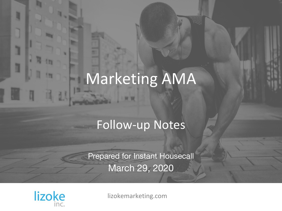# Marketing AMA

### Follow-up Notes

Prepared for Instant Housecall March 29, 2020



1

H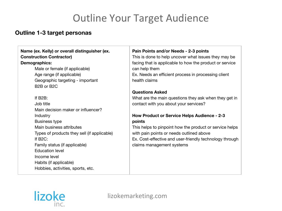### Outline Your Target Audience

### **Outline 1-3 target personas**

#### **Name (ex. Kelly) or overall distinguisher (ex. Construction Contractor)**

#### **Demographics:**

Male or female (if applicable) Age range (if applicable) Geographic targeting - important B2B or B2C

If B2B:

Job title Main decision maker or influencer? **Industry** Business type Main business attributes Types of products they sell (if applicable) If B2C: Family status (if applicable) Education level Income level Habits (if applicable) Hobbies, activities, sports, etc.

#### **Pain Points and/or Needs - 2-3 points**

This is done to help uncover what issues they may be facing that is applicable to how the product or service can help them

Ex. Needs an efficient process in processing client health claims

#### **Questions Asked**

What are the main questions they ask when they get in contact with you about your services?

#### **How Product or Service Helps Audience - 2-3 points**

This helps to pinpoint how the product or service helps with pain points or needs outlined above Ex. Cost-effective and user-friendly technology through claims management systems

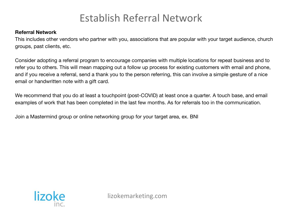### Establish Referral Network

#### **Referral Network**

This includes other vendors who partner with you, associations that are popular with your target audience, church groups, past clients, etc.

Consider adopting a referral program to encourage companies with multiple locations for repeat business and to refer you to others. This will mean mapping out a follow up process for existing customers with email and phone, and if you receive a referral, send a thank you to the person referring, this can involve a simple gesture of a nice email or handwritten note with a gift card.

We recommend that you do at least a touchpoint (post-COVID) at least once a quarter. A touch base, and email examples of work that has been completed in the last few months. As for referrals too in the communication.

Join a Mastermind group or online networking group for your target area, ex. BNI

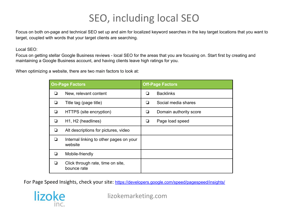### SEO, including local SEO

Focus on both on-page and technical SEO set up and aim for localized keyword searches in the key target locations that you want to target, coupled with words that your target clients are searching.

Local SEO:

Focus on getting stellar Google Business reviews - local SEO for the areas that you are focusing on. Start first by creating and maintaining a Google Business account, and having clients leave high ratings for you.

When optimizing a website, there are two main factors to look at:

| <b>On-Page Factors</b> |                                                    | <b>Off-Page Factors</b> |                        |
|------------------------|----------------------------------------------------|-------------------------|------------------------|
| ◘                      | New, relevant content                              | ❏                       | <b>Backlinks</b>       |
| H                      | Title tag (page title)                             | ப                       | Social media shares    |
| ❏                      | HTTPS (site encryption)                            | ⊔                       | Domain authority score |
| ❏                      | H <sub>1</sub> , H <sub>2</sub> (headlines)        | ⊔                       | Page load speed        |
| ❏                      | Alt descriptions for pictures, video               |                         |                        |
| ❏                      | Internal linking to other pages on your<br>website |                         |                        |
| ❏                      | Mobile-friendly                                    |                         |                        |
| П                      | Click through rate, time on site,<br>bounce rate   |                         |                        |

For Page Speed Insights, check your site: <https://developers.google.com/speed/pagespeed/insights/>

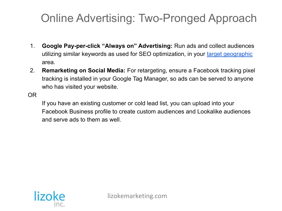### Online Advertising: Two-Pronged Approach

- 1. **Google Pay-per-click "Always on" Advertising:** Run ads and collect audiences utilizing similar keywords as used for SEO optimization, in your [target geographic](https://docs.google.com/document/d/11eNGKFhMoyupNjbHuWE3nP5tobphCf2s4Q-nSWfR_HM/edit#heading=h.eqa5os5je3yc) area.
- 2. **Remarketing on Social Media:** For retargeting, ensure a Facebook tracking pixel tracking is installed in your Google Tag Manager, so ads can be served to anyone who has visited your website.

OR

If you have an existing customer or cold lead list, you can upload into your Facebook Business profile to create custom audiences and Lookalike audiences and serve ads to them as well.

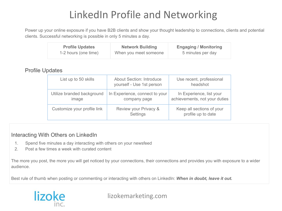### LinkedIn Profile and Networking

Power up your online exposure if you have B2B clients and show your thought leadership to connections, clients and potential clients. Successful networking is possible in only 5 minutes a day.

| <b>Profile Updates</b> | <b>Network Building</b> | <b>Engaging / Monitoring</b> |
|------------------------|-------------------------|------------------------------|
| 1-2 hours (one time)   | When you meet someone   | 5 minutes per day            |

### Profile Updates

| List up to 50 skills                | <b>About Section: Introduce</b><br>yourself - Use 1st person | Use recent, professional<br>headshot                      |
|-------------------------------------|--------------------------------------------------------------|-----------------------------------------------------------|
| Utilize branded background<br>image | In Experience, connect to your<br>company page               | In Experience, list your<br>achievements, not your duties |
| Customize your profile link         | Review your Privacy &<br>Settings                            | Keep all sections of your<br>profile up to date           |

### Interacting With Others on LinkedIn

- 1. Spend five minutes a day interacting with others on your newsfeed
- 2. Post a few times a week with curated content

The more you post, the more you will get noticed by your connections, their connections and provides you with exposure to a wider audience.

Best rule of thumb when posting or commenting or interacting with others on LinkedIn: When in doubt, leave it out.